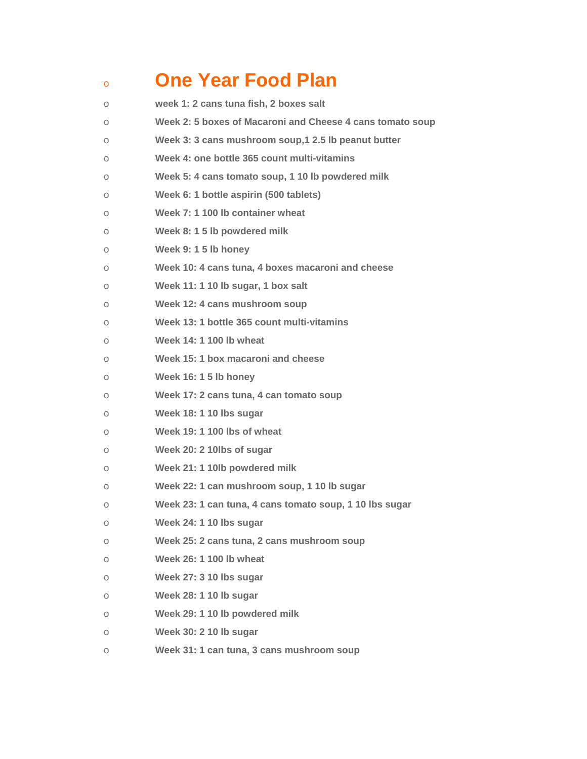## <sup>o</sup> **One Year Food Plan** o **week 1: 2 cans tuna fish, 2 boxes salt**

| $\circ$ | Week 2: 5 boxes of Macaroni and Cheese 4 cans tomato soup |
|---------|-----------------------------------------------------------|
| $\circ$ | Week 3: 3 cans mushroom soup, 1 2.5 lb peanut butter      |
| О       | Week 4: one bottle 365 count multi-vitamins               |
| О       | Week 5: 4 cans tomato soup, 1 10 lb powdered milk         |
| О       | Week 6: 1 bottle aspirin (500 tablets)                    |
| О       | Week 7: 1 100 lb container wheat                          |
| $\circ$ | Week 8: 1 5 lb powdered milk                              |
| О       | Week 9: 1 5 lb honey                                      |
| О       | Week 10: 4 cans tuna, 4 boxes macaroni and cheese         |
| О       | Week 11: 1 10 lb sugar, 1 box salt                        |
| $\circ$ | Week 12: 4 cans mushroom soup                             |
| О       | Week 13: 1 bottle 365 count multi-vitamins                |
| О       | Week 14: 1 100 lb wheat                                   |
| $\circ$ | Week 15: 1 box macaroni and cheese                        |
| О       | Week 16: 1 5 lb honey                                     |
| О       | Week 17: 2 cans tuna, 4 can tomato soup                   |
| О       | Week 18: 1 10 lbs sugar                                   |
| О       | Week 19: 1 100 lbs of wheat                               |
| $\circ$ | Week 20: 2 10lbs of sugar                                 |
| $\circ$ | Week 21: 1 10lb powdered milk                             |
| О       | Week 22: 1 can mushroom soup, 1 10 lb sugar               |
| О       | Week 23: 1 can tuna, 4 cans tomato soup, 1 10 lbs sugar   |
| О       | Week 24: 1 10 lbs sugar                                   |
| О       | Week 25: 2 cans tuna, 2 cans mushroom soup                |
| О       | Week 26: 1 100 lb wheat                                   |
| О       | Week 27: 3 10 lbs sugar                                   |
| О       | Week 28: 1 10 lb sugar                                    |
| О       | Week 29: 1 10 lb powdered milk                            |
| О       | Week 30: 2 10 lb sugar                                    |
| О       | Week 31: 1 can tuna, 3 cans mushroom soup                 |